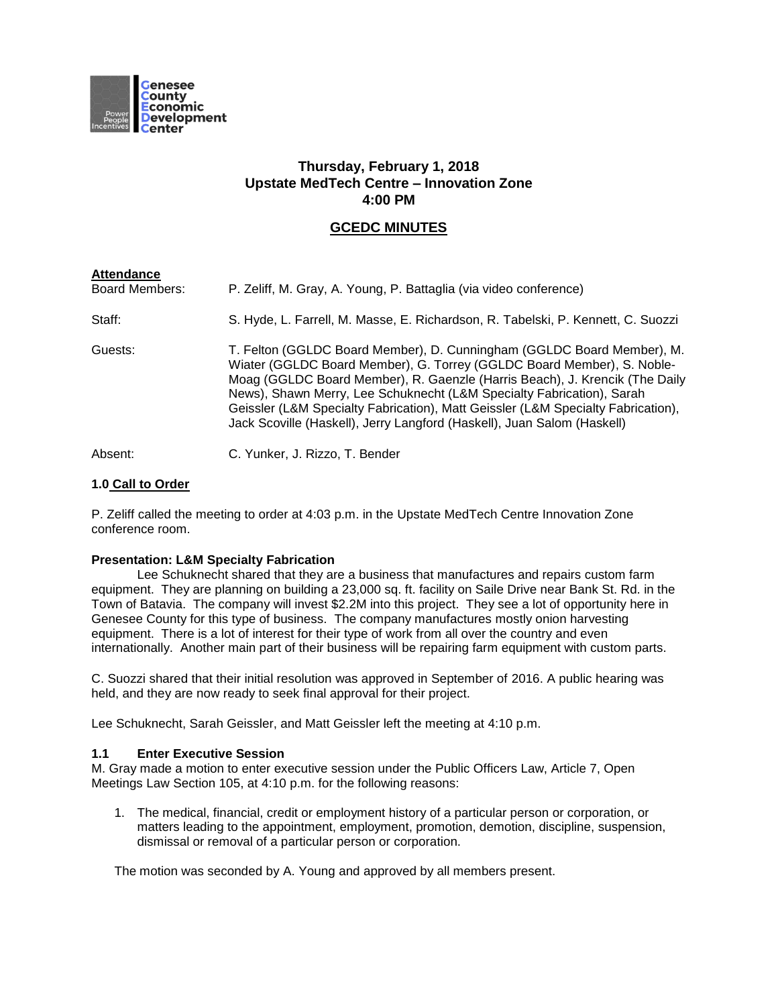

# **Thursday, February 1, 2018 Upstate MedTech Centre – Innovation Zone 4:00 PM**

# **GCEDC MINUTES**

| <b>Attendance</b><br><b>Board Members:</b> | P. Zeliff, M. Gray, A. Young, P. Battaglia (via video conference)                                                                                                                                                                                                                                                                                                                                                                                                       |
|--------------------------------------------|-------------------------------------------------------------------------------------------------------------------------------------------------------------------------------------------------------------------------------------------------------------------------------------------------------------------------------------------------------------------------------------------------------------------------------------------------------------------------|
| Staff:                                     | S. Hyde, L. Farrell, M. Masse, E. Richardson, R. Tabelski, P. Kennett, C. Suozzi                                                                                                                                                                                                                                                                                                                                                                                        |
| Guests:                                    | T. Felton (GGLDC Board Member), D. Cunningham (GGLDC Board Member), M.<br>Wiater (GGLDC Board Member), G. Torrey (GGLDC Board Member), S. Noble-<br>Moag (GGLDC Board Member), R. Gaenzle (Harris Beach), J. Krencik (The Daily<br>News), Shawn Merry, Lee Schuknecht (L&M Specialty Fabrication), Sarah<br>Geissler (L&M Specialty Fabrication), Matt Geissler (L&M Specialty Fabrication),<br>Jack Scoville (Haskell), Jerry Langford (Haskell), Juan Salom (Haskell) |
| Absent:                                    | C. Yunker, J. Rizzo, T. Bender                                                                                                                                                                                                                                                                                                                                                                                                                                          |

# **1.0 Call to Order**

P. Zeliff called the meeting to order at 4:03 p.m. in the Upstate MedTech Centre Innovation Zone conference room.

# **Presentation: L&M Specialty Fabrication**

Lee Schuknecht shared that they are a business that manufactures and repairs custom farm equipment. They are planning on building a 23,000 sq. ft. facility on Saile Drive near Bank St. Rd. in the Town of Batavia. The company will invest \$2.2M into this project. They see a lot of opportunity here in Genesee County for this type of business. The company manufactures mostly onion harvesting equipment. There is a lot of interest for their type of work from all over the country and even internationally. Another main part of their business will be repairing farm equipment with custom parts.

C. Suozzi shared that their initial resolution was approved in September of 2016. A public hearing was held, and they are now ready to seek final approval for their project.

Lee Schuknecht, Sarah Geissler, and Matt Geissler left the meeting at 4:10 p.m.

# **1.1 Enter Executive Session**

M. Gray made a motion to enter executive session under the Public Officers Law, Article 7, Open Meetings Law Section 105, at 4:10 p.m. for the following reasons:

1. The medical, financial, credit or employment history of a particular person or corporation, or matters leading to the appointment, employment, promotion, demotion, discipline, suspension, dismissal or removal of a particular person or corporation.

The motion was seconded by A. Young and approved by all members present.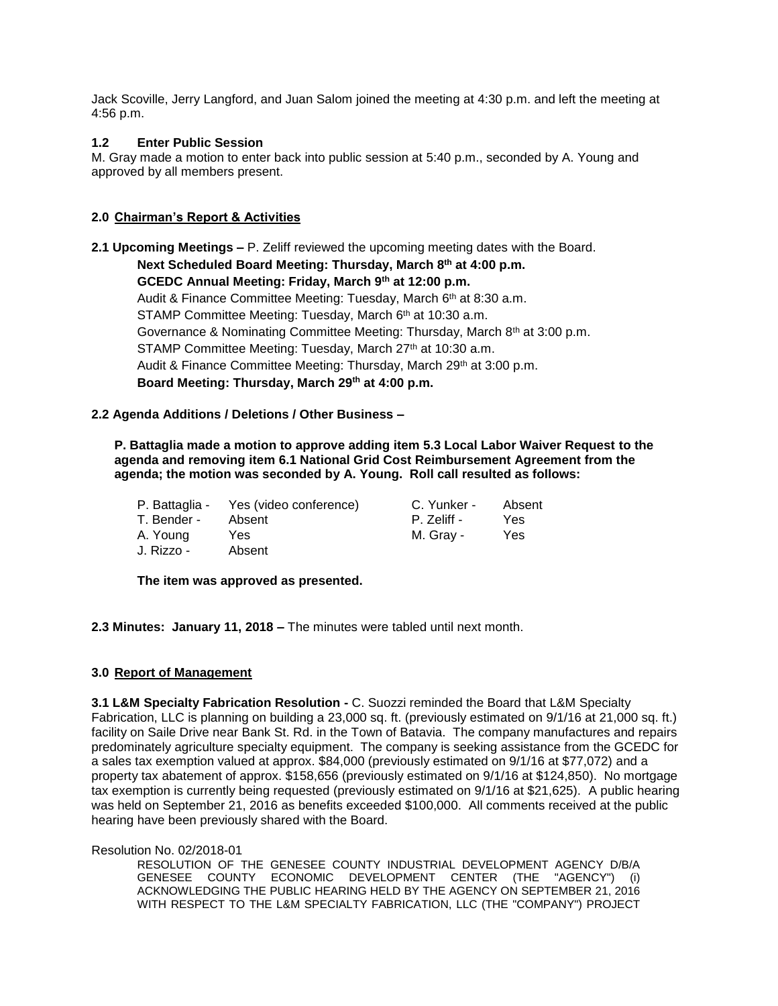Jack Scoville, Jerry Langford, and Juan Salom joined the meeting at 4:30 p.m. and left the meeting at 4:56 p.m.

# **1.2 Enter Public Session**

M. Gray made a motion to enter back into public session at 5:40 p.m., seconded by A. Young and approved by all members present.

# **2.0 Chairman's Report & Activities**

**2.1 Upcoming Meetings –** P. Zeliff reviewed the upcoming meeting dates with the Board. **Next Scheduled Board Meeting: Thursday, March 8th at 4:00 p.m. GCEDC Annual Meeting: Friday, March 9th at 12:00 p.m.** Audit & Finance Committee Meeting: Tuesday, March 6<sup>th</sup> at 8:30 a.m. STAMP Committee Meeting: Tuesday, March 6th at 10:30 a.m. Governance & Nominating Committee Meeting: Thursday, March 8<sup>th</sup> at 3:00 p.m. STAMP Committee Meeting: Tuesday, March 27th at 10:30 a.m. Audit & Finance Committee Meeting: Thursday, March 29<sup>th</sup> at 3:00 p.m. **Board Meeting: Thursday, March 29th at 4:00 p.m.**

# **2.2 Agenda Additions / Deletions / Other Business –**

**P. Battaglia made a motion to approve adding item 5.3 Local Labor Waiver Request to the agenda and removing item 6.1 National Grid Cost Reimbursement Agreement from the agenda; the motion was seconded by A. Young. Roll call resulted as follows:**

|             | P. Battaglia - Yes (video conference) | C. Yunker - | Absent |
|-------------|---------------------------------------|-------------|--------|
| T. Bender - | Absent                                | P. Zeliff - | Yes.   |
| A. Young    | Yes                                   | M. Grav -   | Yes    |
| J. Rizzo -  | Absent                                |             |        |

**The item was approved as presented.**

**2.3 Minutes: January 11, 2018 –** The minutes were tabled until next month.

# **3.0 Report of Management**

**3.1 L&M Specialty Fabrication Resolution -** C. Suozzi reminded the Board that L&M Specialty Fabrication, LLC is planning on building a 23,000 sq. ft. (previously estimated on 9/1/16 at 21,000 sq. ft.) facility on Saile Drive near Bank St. Rd. in the Town of Batavia. The company manufactures and repairs predominately agriculture specialty equipment. The company is seeking assistance from the GCEDC for a sales tax exemption valued at approx. \$84,000 (previously estimated on 9/1/16 at \$77,072) and a property tax abatement of approx. \$158,656 (previously estimated on 9/1/16 at \$124,850). No mortgage tax exemption is currently being requested (previously estimated on 9/1/16 at \$21,625). A public hearing was held on September 21, 2016 as benefits exceeded \$100,000. All comments received at the public hearing have been previously shared with the Board.

Resolution No. 02/2018-01

RESOLUTION OF THE GENESEE COUNTY INDUSTRIAL DEVELOPMENT AGENCY D/B/A GENESEE COUNTY ECONOMIC DEVELOPMENT CENTER (THE "AGENCY") (i) ACKNOWLEDGING THE PUBLIC HEARING HELD BY THE AGENCY ON SEPTEMBER 21, 2016 WITH RESPECT TO THE L&M SPECIALTY FABRICATION, LLC (THE "COMPANY") PROJECT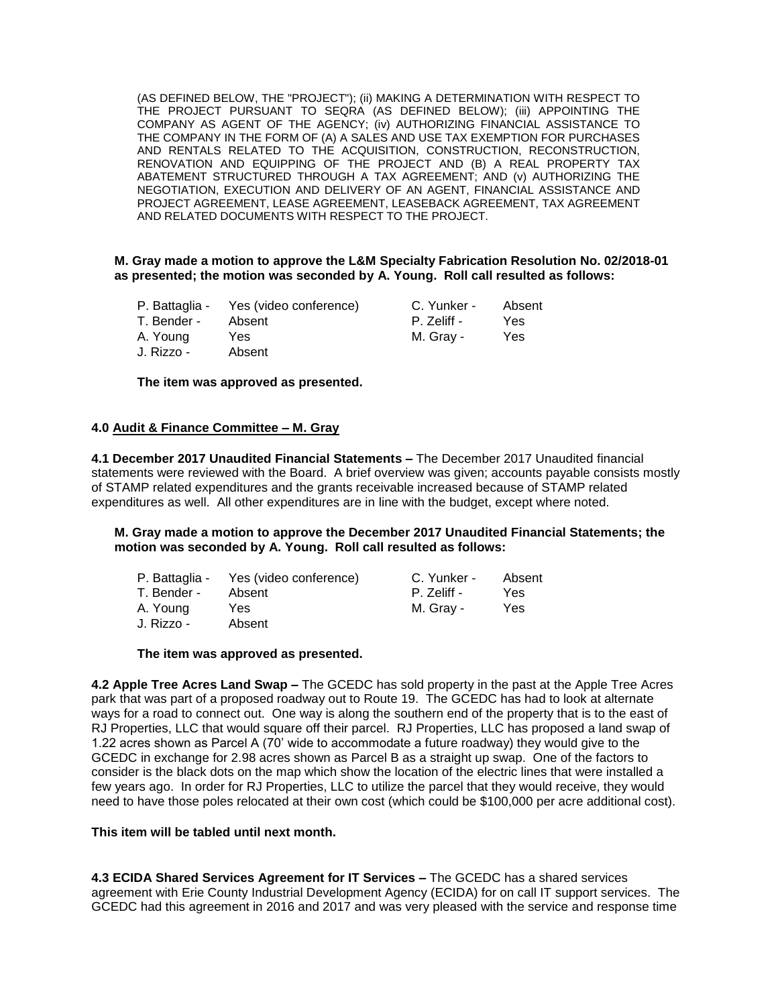(AS DEFINED BELOW, THE "PROJECT"); (ii) MAKING A DETERMINATION WITH RESPECT TO THE PROJECT PURSUANT TO SEQRA (AS DEFINED BELOW); (iii) APPOINTING THE COMPANY AS AGENT OF THE AGENCY; (iv) AUTHORIZING FINANCIAL ASSISTANCE TO THE COMPANY IN THE FORM OF (A) A SALES AND USE TAX EXEMPTION FOR PURCHASES AND RENTALS RELATED TO THE ACQUISITION, CONSTRUCTION, RECONSTRUCTION, RENOVATION AND EQUIPPING OF THE PROJECT AND (B) A REAL PROPERTY TAX ABATEMENT STRUCTURED THROUGH A TAX AGREEMENT; AND (v) AUTHORIZING THE NEGOTIATION, EXECUTION AND DELIVERY OF AN AGENT, FINANCIAL ASSISTANCE AND PROJECT AGREEMENT, LEASE AGREEMENT, LEASEBACK AGREEMENT, TAX AGREEMENT AND RELATED DOCUMENTS WITH RESPECT TO THE PROJECT.

# **M. Gray made a motion to approve the L&M Specialty Fabrication Resolution No. 02/2018-01 as presented; the motion was seconded by A. Young. Roll call resulted as follows:**

|             | P. Battaglia - Yes (video conference) | C. Yunker - | Absent |
|-------------|---------------------------------------|-------------|--------|
| T. Bender - | Absent                                | P. Zeliff - | Yes    |
| A. Young    | Yes                                   | M. Grav -   | Yes    |
| J. Rizzo -  | Absent                                |             |        |

**The item was approved as presented.**

### **4.0 Audit & Finance Committee – M. Gray**

**4.1 December 2017 Unaudited Financial Statements –** The December 2017 Unaudited financial statements were reviewed with the Board. A brief overview was given; accounts payable consists mostly of STAMP related expenditures and the grants receivable increased because of STAMP related expenditures as well. All other expenditures are in line with the budget, except where noted.

### **M. Gray made a motion to approve the December 2017 Unaudited Financial Statements; the motion was seconded by A. Young. Roll call resulted as follows:**

|             | P. Battaglia - Yes (video conference) | C. Yunker - | Absent |
|-------------|---------------------------------------|-------------|--------|
| T. Bender - | Absent                                | P. Zeliff - | Yes.   |
| A. Young    | Yes.                                  | M. Grav -   | Yes    |
| J. Rizzo -  | Absent                                |             |        |

#### **The item was approved as presented.**

**4.2 Apple Tree Acres Land Swap –** The GCEDC has sold property in the past at the Apple Tree Acres park that was part of a proposed roadway out to Route 19. The GCEDC has had to look at alternate ways for a road to connect out. One way is along the southern end of the property that is to the east of RJ Properties, LLC that would square off their parcel. RJ Properties, LLC has proposed a land swap of 1.22 acres shown as Parcel A (70' wide to accommodate a future roadway) they would give to the GCEDC in exchange for 2.98 acres shown as Parcel B as a straight up swap. One of the factors to consider is the black dots on the map which show the location of the electric lines that were installed a few years ago. In order for RJ Properties, LLC to utilize the parcel that they would receive, they would need to have those poles relocated at their own cost (which could be \$100,000 per acre additional cost).

#### **This item will be tabled until next month.**

**4.3 ECIDA Shared Services Agreement for IT Services –** The GCEDC has a shared services agreement with Erie County Industrial Development Agency (ECIDA) for on call IT support services. The GCEDC had this agreement in 2016 and 2017 and was very pleased with the service and response time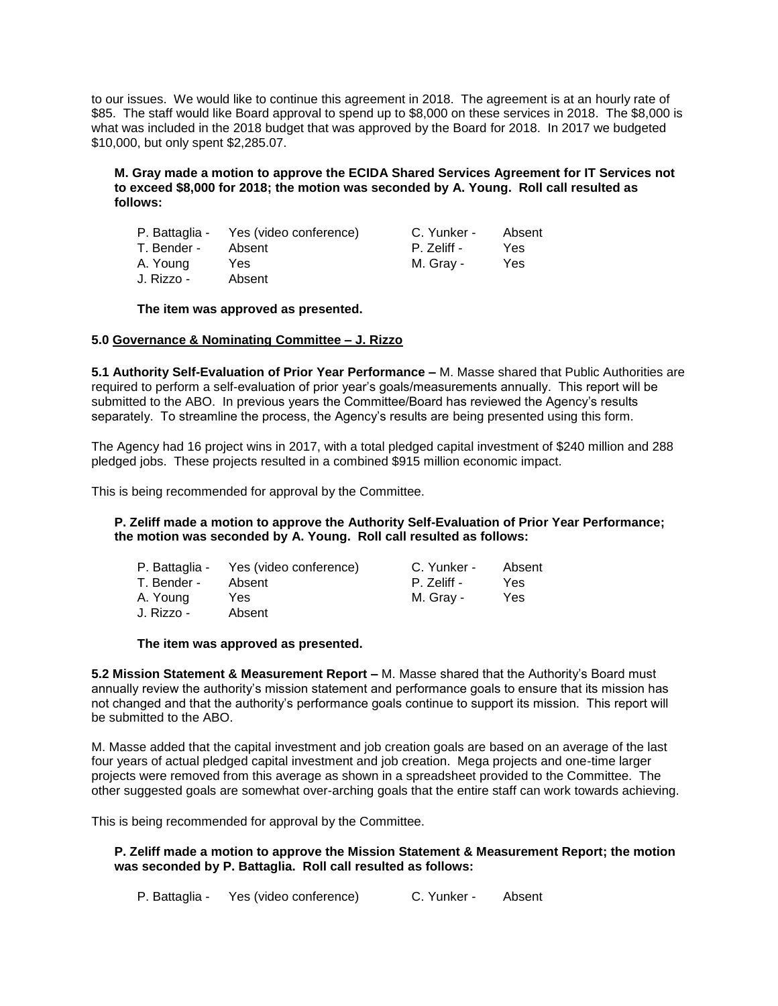to our issues. We would like to continue this agreement in 2018. The agreement is at an hourly rate of \$85. The staff would like Board approval to spend up to \$8,000 on these services in 2018. The \$8,000 is what was included in the 2018 budget that was approved by the Board for 2018. In 2017 we budgeted \$10,000, but only spent \$2,285.07.

# **M. Gray made a motion to approve the ECIDA Shared Services Agreement for IT Services not to exceed \$8,000 for 2018; the motion was seconded by A. Young. Roll call resulted as follows:**

|             | P. Battaglia - Yes (video conference) | C. Yunker - | Absent |
|-------------|---------------------------------------|-------------|--------|
| T. Bender - | Absent                                | P. Zeliff - | Yes    |
| A. Young    | Yes.                                  | M. Gray -   | Yes    |
| J. Rizzo -  | Absent                                |             |        |

**The item was approved as presented.**

# **5.0 Governance & Nominating Committee – J. Rizzo**

**5.1 Authority Self-Evaluation of Prior Year Performance –** M. Masse shared that Public Authorities are required to perform a self-evaluation of prior year's goals/measurements annually. This report will be submitted to the ABO. In previous years the Committee/Board has reviewed the Agency's results separately. To streamline the process, the Agency's results are being presented using this form.

The Agency had 16 project wins in 2017, with a total pledged capital investment of \$240 million and 288 pledged jobs. These projects resulted in a combined \$915 million economic impact.

This is being recommended for approval by the Committee.

### **P. Zeliff made a motion to approve the Authority Self-Evaluation of Prior Year Performance; the motion was seconded by A. Young. Roll call resulted as follows:**

| P. Battaglia - | Yes (video conference) | C. Yunker - | Absent |
|----------------|------------------------|-------------|--------|
| T. Bender -    | Absent                 | P. Zeliff - | Yes    |
| A. Young       | Yes.                   | M. Grav -   | Yes    |
| J. Rizzo -     | Absent                 |             |        |

# **The item was approved as presented.**

**5.2 Mission Statement & Measurement Report –** M. Masse shared that the Authority's Board must annually review the authority's mission statement and performance goals to ensure that its mission has not changed and that the authority's performance goals continue to support its mission. This report will be submitted to the ABO.

M. Masse added that the capital investment and job creation goals are based on an average of the last four years of actual pledged capital investment and job creation. Mega projects and one-time larger projects were removed from this average as shown in a spreadsheet provided to the Committee. The other suggested goals are somewhat over-arching goals that the entire staff can work towards achieving.

This is being recommended for approval by the Committee.

# **P. Zeliff made a motion to approve the Mission Statement & Measurement Report; the motion was seconded by P. Battaglia. Roll call resulted as follows:**

P. Battaglia - Yes (video conference) C. Yunker - Absent